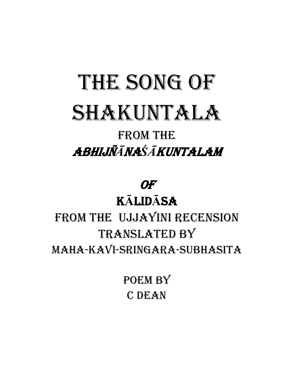# THE SONG OF SHAKUNTALA FROM THE ABHIJÑ*Ā*NA*ŚĀ*KUNTALAM

#### OF

### K**Ā**LID**Ā**SA

### FROM THE UJJAYINI RECENSION TRANSLATED BY MAHA-KAVI-SRINGARA-SUBHASITA

POEM BY C DEAN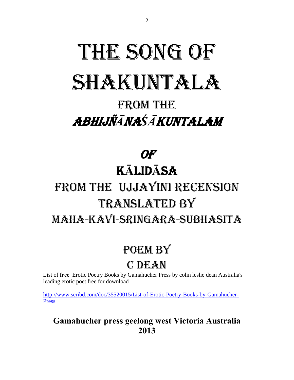# THE SONG OF SHAKUNTALA

### FROM THE ABHIJÑ*Ā*NA*ŚĀ*KUNTALAM

### OF K**Ā**LID**Ā**SA

### FROM THE UJJAYINI RECENSION TRANSLATED BY MAHA-KAVI-SRINGARA-SUBHASITA

#### POEM BY C DEAN

List of **free** Erotic Poetry Books by Gamahucher Press by colin leslie dean Australia's leading erotic poet free for download

[http://www.scribd.com/doc/35520015/List-of-Erotic-Poetry-Books-by-Gamahucher-](http://www.scribd.com/doc/35520015/List-of-Erotic-Poetry-Books-by-Gamahucher-Press)[Press](http://www.scribd.com/doc/35520015/List-of-Erotic-Poetry-Books-by-Gamahucher-Press)

#### **Gamahucher press geelong west Victoria Australia 2013**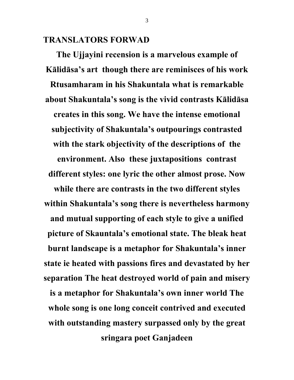#### **TRANSLATORS FORWAD**

**The Ujjayini recension is a marvelous example of Kālidāsa's art though there are reminisces of his work Rtusamharam in his Shakuntala what is remarkable about Shakuntala's song is the vivid contrasts Kālidāsa creates in this song. We have the intense emotional subjectivity of Shakuntala's outpourings contrasted with the stark objectivity of the descriptions of the environment. Also these juxtapositions contrast different styles: one lyric the other almost prose. Now while there are contrasts in the two different styles within Shakuntala's song there is nevertheless harmony and mutual supporting of each style to give a unified picture of Skauntala's emotional state. The bleak heat burnt landscape is a metaphor for Shakuntala's inner state ie heated with passions fires and devastated by her separation The heat destroyed world of pain and misery is a metaphor for Shakuntala's own inner world The whole song is one long conceit contrived and executed with outstanding mastery surpassed only by the great sringara poet Ganjadeen** 

3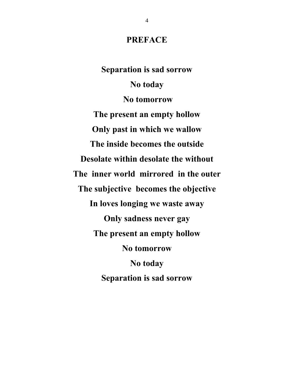#### **PREFACE**

**Separation is sad sorrow No today No tomorrow The present an empty hollow Only past in which we wallow The inside becomes the outside Desolate within desolate the without The inner world mirrored in the outer The subjective becomes the objective In loves longing we waste away Only sadness never gay The present an empty hollow No tomorrow No today Separation is sad sorrow**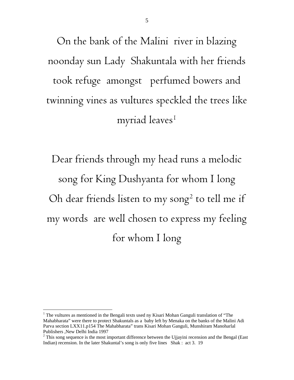On the bank of the Malini river in blazing noonday sun Lady Shakuntala with her friends took refuge amongst perfumed bowers and twinning vines as vultures speckled the trees like myriad leaves<sup>[1](#page-4-0)</sup>

Dear friends through my head runs a melodic song for King Dushyanta for whom I long Oh dear friends listen to my song<sup>[2](#page-4-1)</sup> to tell me if my words are well chosen to express my feeling for whom I long

 $\overline{a}$ 

<span id="page-4-0"></span><sup>&</sup>lt;sup>1</sup> The vultures as mentioned in the Bengali texts used ny Kisari Mohan Ganguli translation of "The Mahabharata" were there to protect Shakuntals as a baby left by Menaka on the banks of the Malini Adi Parva section LXX11.p154 The Mahabharata" trans Kisari Mohan Ganguli, Munshiram Manoharlal Publishers ,New Delhi India 1997

<span id="page-4-1"></span> $2^2$  This song sequence is the most important difference between the Ujjayini recension and the Bengal (East Indian) recension. In the later Shakuntal's song is only five lines Shak : act 3. 19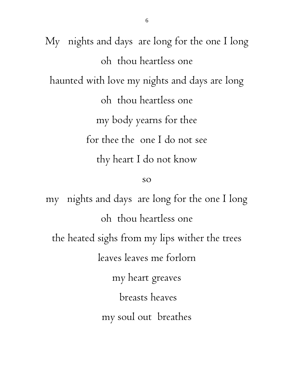My nights and days are long for the one I long oh thou heartless one haunted with love my nights and days are long oh thou heartless one my body yearns for thee for thee the one I do not see thy heart I do not know

so

my nights and days are long for the one I long oh thou heartless one the heated sighs from my lips wither the trees leaves leaves me forlorn my heart greaves breasts heaves my soul out breathes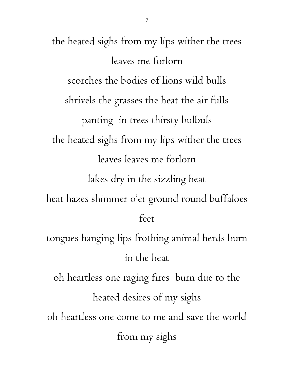the heated sighs from my lips wither the trees leaves me forlorn scorches the bodies of lions wild bulls shrivels the grasses the heat the air fulls panting in trees thirsty bulbuls the heated sighs from my lips wither the trees leaves leaves me forlorn lakes dry in the sizzling heat heat hazes shimmer o'er ground round buffaloes feet tongues hanging lips frothing animal herds burn in the heat oh heartless one raging fires burn due to the heated desires of my sighs oh heartless one come to me and save the world from my sighs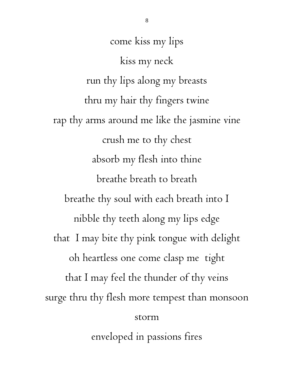come kiss my lips kiss my neck run thy lips along my breasts thru my hair thy fingers twine rap thy arms around me like the jasmine vine crush me to thy chest absorb my flesh into thine breathe breath to breath breathe thy soul with each breath into I nibble thy teeth along my lips edge that I may bite thy pink tongue with delight oh heartless one come clasp me tight that I may feel the thunder of thy veins surge thru thy flesh more tempest than monsoon storm enveloped in passions fires

8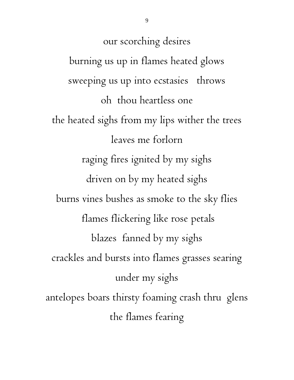our scorching desires burning us up in flames heated glows sweeping us up into ecstasies throws oh thou heartless one the heated sighs from my lips wither the trees leaves me forlorn raging fires ignited by my sighs driven on by my heated sighs burns vines bushes as smoke to the sky flies flames flickering like rose petals blazes fanned by my sighs crackles and bursts into flames grasses searing under my sighs antelopes boars thirsty foaming crash thru glens the flames fearing

9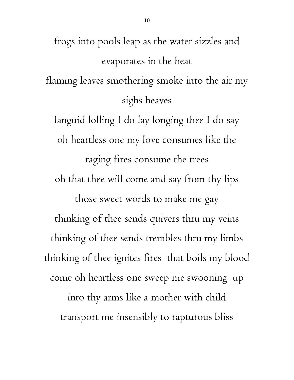frogs into pools leap as the water sizzles and evaporates in the heat flaming leaves smothering smoke into the air my sighs heaves

languid lolling I do lay longing thee I do say oh heartless one my love consumes like the raging fires consume the trees oh that thee will come and say from thy lips those sweet words to make me gay thinking of thee sends quivers thru my veins thinking of thee sends trembles thru my limbs thinking of thee ignites fires that boils my blood come oh heartless one sweep me swooning up into thy arms like a mother with child transport me insensibly to rapturous bliss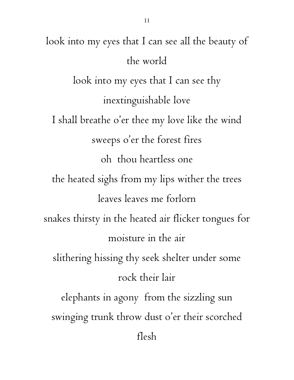look into my eyes that I can see all the beauty of the world look into my eyes that I can see thy inextinguishable love I shall breathe o'er thee my love like the wind sweeps o'er the forest fires oh thou heartless one the heated sighs from my lips wither the trees leaves leaves me forlorn snakes thirsty in the heated air flicker tongues for moisture in the air slithering hissing thy seek shelter under some rock their lair elephants in agony from the sizzling sun swinging trunk throw dust o'er their scorched flesh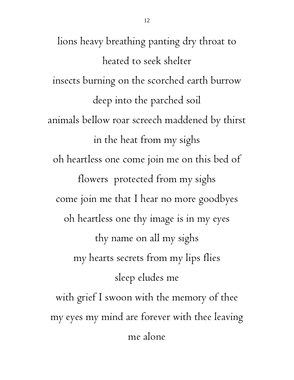lions heavy breathing panting dry throat to heated to seek shelter insects burning on the scorched earth burrow deep into the parched soil animals bellow roar screech maddened by thirst in the heat from my sighs oh heartless one come join me on this bed of flowers protected from my sighs come join me that I hear no more goodbyes oh heartless one thy image is in my eyes thy name on all my sighs my hearts secrets from my lips flies sleep eludes me with grief I swoon with the memory of thee my eyes my mind are forever with thee leaving me alone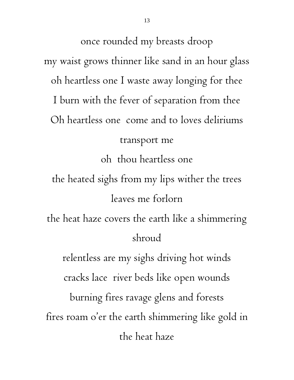once rounded my breasts droop my waist grows thinner like sand in an hour glass oh heartless one I waste away longing for thee I burn with the fever of separation from thee Oh heartless one come and to loves deliriums transport me oh thou heartless one the heated sighs from my lips wither the trees leaves me forlorn the heat haze covers the earth like a shimmering shroud relentless are my sighs driving hot winds cracks lace river beds like open wounds burning fires ravage glens and forests fires roam o'er the earth shimmering like gold in the heat haze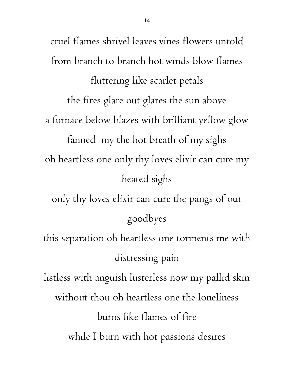cruel flames shrivel leaves vines flowers untold from branch to branch hot winds blow flames fluttering like scarlet petals the fires glare out glares the sun above a furnace below blazes with brilliant yellow glow fanned my the hot breath of my sighs oh heartless one only thy loves elixir can cure my heated sighs only thy loves elixir can cure the pangs of our goodbyes this separation oh heartless one torments me with

distressing pain

listless with anguish lusterless now my pallid skin

without thou oh heartless one the loneliness

burns like flames of fire while I burn with hot passions desires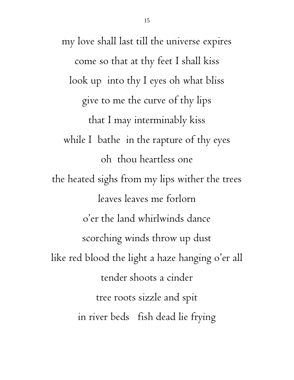my love shall last till the universe expires come so that at thy feet I shall kiss look up into thy I eyes oh what bliss give to me the curve of thy lips that I may interminably kiss while I bathe in the rapture of thy eyes oh thou heartless one the heated sighs from my lips wither the trees leaves leaves me forlorn o'er the land whirlwinds dance scorching winds throw up dust like red blood the light a haze hanging o'er all tender shoots a cinder tree roots sizzle and spit in river beds fish dead lie frying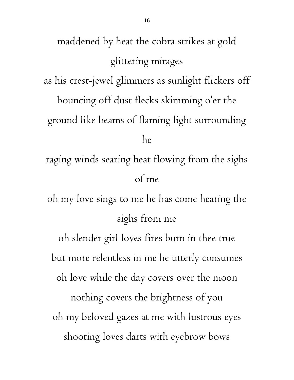maddened by heat the cobra strikes at gold glittering mirages as his crest-jewel glimmers as sunlight flickers off bouncing off dust flecks skimming o'er the ground like beams of flaming light surrounding he

raging winds searing heat flowing from the sighs of me

oh my love sings to me he has come hearing the sighs from me

oh slender girl loves fires burn in thee true but more relentless in me he utterly consumes oh love while the day covers over the moon nothing covers the brightness of you oh my beloved gazes at me with lustrous eyes shooting loves darts with eyebrow bows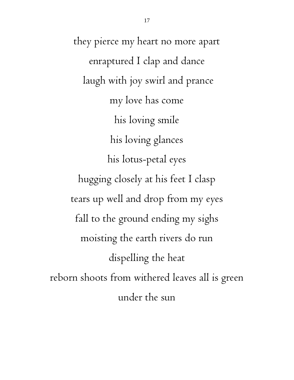they pierce my heart no more apart enraptured I clap and dance laugh with joy swirl and prance my love has come his loving smile his loving glances his lotus-petal eyes hugging closely at his feet I clasp tears up well and drop from my eyes fall to the ground ending my sighs moisting the earth rivers do run dispelling the heat reborn shoots from withered leaves all is green under the sun